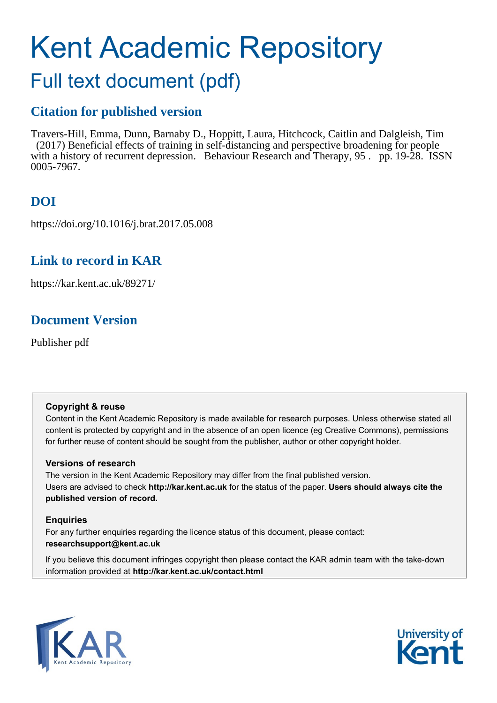# Kent Academic Repository

## Full text document (pdf)

## **Citation for published version**

Travers-Hill, Emma, Dunn, Barnaby D., Hoppitt, Laura, Hitchcock, Caitlin and Dalgleish, Tim (2017) Beneficial effects of training in self-distancing and perspective broadening for people with a history of recurrent depression. Behaviour Research and Therapy, 95 . pp. 19-28. ISSN 0005-7967.

## **DOI**

https://doi.org/10.1016/j.brat.2017.05.008

## **Link to record in KAR**

https://kar.kent.ac.uk/89271/

## **Document Version**

Publisher pdf

### **Copyright & reuse**

Content in the Kent Academic Repository is made available for research purposes. Unless otherwise stated all content is protected by copyright and in the absence of an open licence (eg Creative Commons), permissions for further reuse of content should be sought from the publisher, author or other copyright holder.

## **Versions of research**

The version in the Kent Academic Repository may differ from the final published version. Users are advised to check **http://kar.kent.ac.uk** for the status of the paper. **Users should always cite the published version of record.**

## **Enquiries**

For any further enquiries regarding the licence status of this document, please contact: **researchsupport@kent.ac.uk**

If you believe this document infringes copyright then please contact the KAR admin team with the take-down information provided at **http://kar.kent.ac.uk/contact.html**



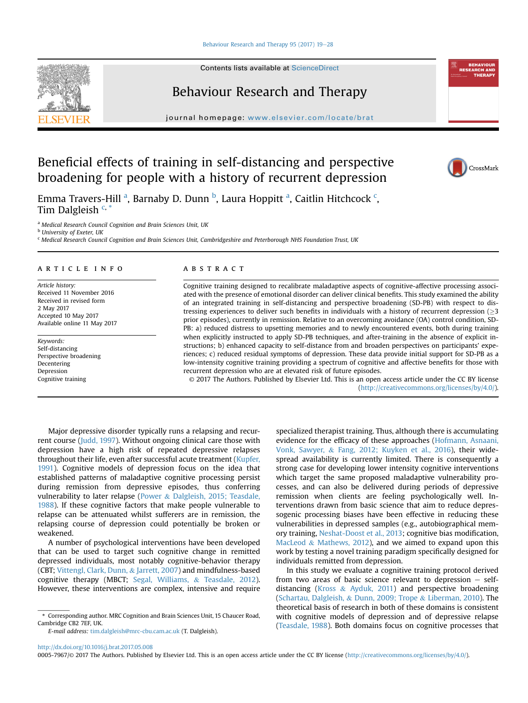#### [Behaviour Research and Therapy 95 \(2017\) 19](http://dx.doi.org/10.1016/j.brat.2017.05.008)-[28](http://dx.doi.org/10.1016/j.brat.2017.05.008)

Contents lists available at ScienceDirect

## Behaviour Research and Therapy

journal homepage: [www.elsevier.com/locate/brat](http://www.elsevier.com/locate/brat)

## Beneficial effects of training in self-distancing and perspective broadening for people with a history of recurrent depression

Emma Travers-Hill <sup>a</sup>, Barnaby D. Dunn <sup>b</sup>, Laura Hoppitt <sup>a</sup>, Caitlin Hitchcock <sup>c</sup>, Tim Dalgleish  $C, *$ 

<sup>a</sup> Medical Research Council Cognition and Brain Sciences Unit, UK

<sup>b</sup> University of Exeter, UK

<sup>c</sup> Medical Research Council Cognition and Brain Sciences Unit, Cambridgeshire and Peterborough NHS Foundation Trust, UK

#### article info

Article history: Received 11 November 2016 Received in revised form 2 May 2017 Accepted 10 May 2017 Available online 11 May 2017

Keywords: Self-distancing Perspective broadening Decentering Depression Cognitive training

#### ABSTRACT

Cognitive training designed to recalibrate maladaptive aspects of cognitive-affective processing associated with the presence of emotional disorder can deliver clinical benefits. This study examined the ability of an integrated training in self-distancing and perspective broadening (SD-PB) with respect to distressing experiences to deliver such benefits in individuals with a history of recurrent depression ( $>3$ ) prior episodes), currently in remission. Relative to an overcoming avoidance (OA) control condition, SD-PB: a) reduced distress to upsetting memories and to newly encountered events, both during training when explicitly instructed to apply SD-PB techniques, and after-training in the absence of explicit instructions; b) enhanced capacity to self-distance from and broaden perspectives on participants' experiences; c) reduced residual symptoms of depression. These data provide initial support for SD-PB as a low-intensity cognitive training providing a spectrum of cognitive and affective benefits for those with recurrent depression who are at elevated risk of future episodes.

© 2017 The Authors. Published by Elsevier Ltd. This is an open access article under the CC BY license [\(http://creativecommons.org/licenses/by/4.0/](http://creativecommons.org/licenses/by/4.0/)).

Major depressive disorder typically runs a relapsing and recurrent course (Judd, 1997). Without ongoing clinical care those with depression have a high risk of repeated depressive relapses throughout their life, even after successful acute treatment (Kupfer, 1991). Cognitive models of depression focus on the idea that established patterns of maladaptive cognitive processing persist during remission from depressive episodes, thus conferring vulnerability to later relapse (Power & Dalgleish, 2015; Teasdale, 1988). If these cognitive factors that make people vulnerable to relapse can be attenuated whilst sufferers are in remission, the relapsing course of depression could potentially be broken or weakened.

A number of psychological interventions have been developed that can be used to target such cognitive change in remitted depressed individuals, most notably cognitive-behavior therapy (CBT; Vittengl, Clark, Dunn, & Jarrett, 2007) and mindfulness-based cognitive therapy (MBCT; Segal, Williams, & Teasdale, 2012). However, these interventions are complex, intensive and require

specialized therapist training. Thus, although there is accumulating evidence for the efficacy of these approaches (Hofmann, Asnaani, Vonk, Sawyer, & Fang, 2012; Kuyken et al., 2016), their widespread availability is currently limited. There is consequently a strong case for developing lower intensity cognitive interventions which target the same proposed maladaptive vulnerability processes, and can also be delivered during periods of depressive remission when clients are feeling psychologically well. Interventions drawn from basic science that aim to reduce depressogenic processing biases have been effective in reducing these vulnerabilities in depressed samples (e.g., autobiographical memory training, Neshat-Doost et al., 2013; cognitive bias modification, MacLeod & Mathews, 2012), and we aimed to expand upon this work by testing a novel training paradigm specifically designed for individuals remitted from depression.

In this study we evaluate a cognitive training protocol derived from two areas of basic science relevant to depression  $-$  selfdistancing (Kross & Ayduk, 2011) and perspective broadening (Schartau, Dalgleish, & Dunn, 2009; Trope & Liberman, 2010). The theoretical basis of research in both of these domains is consistent with cognitive models of depression and of depressive relapse (Teasdale, 1988). Both domains focus on cognitive processes that







<sup>\*</sup> Corresponding author. MRC Cognition and Brain Sciences Unit, 15 Chaucer Road, Cambridge CB2 7EF, UK.

E-mail address: [tim.dalgleish@mrc-cbu.cam.ac.uk](mailto:tim.dalgleish@mrc-cbu.cam.ac.uk) (T. Dalgleish).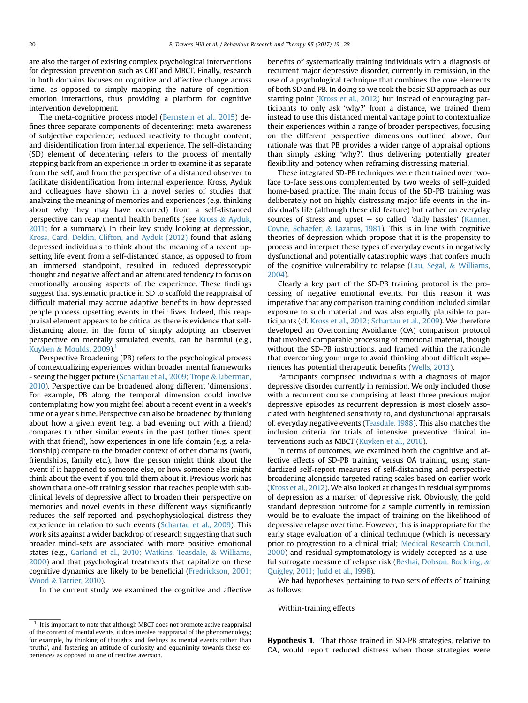are also the target of existing complex psychological interventions for depression prevention such as CBT and MBCT. Finally, research in both domains focuses on cognitive and affective change across time, as opposed to simply mapping the nature of cognitionemotion interactions, thus providing a platform for cognitive intervention development.

The meta-cognitive process model (Bernstein et al., 2015) defines three separate components of decentering: meta-awareness of subjective experience; reduced reactivity to thought content; and disidentification from internal experience. The self-distancing (SD) element of decentering refers to the process of mentally stepping back from an experience in order to examine it as separate from the self, and from the perspective of a distanced observer to facilitate disidentification from internal experience. Kross, Ayduk and colleagues have shown in a novel series of studies that analyzing the meaning of memories and experiences (e.g. thinking about why they may have occurred) from a self-distanced perspective can reap mental health benefits (see Kross & Ayduk, 2011; for a summary). In their key study looking at depression, Kross, Card, Deldin, Clifton, and Ayduk (2012) found that asking depressed individuals to think about the meaning of a recent upsetting life event from a self-distanced stance, as opposed to from an immersed standpoint, resulted in reduced depressotypic thought and negative affect and an attenuated tendency to focus on emotionally arousing aspects of the experience. These findings suggest that systematic practice in SD to scaffold the reappraisal of difficult material may accrue adaptive benefits in how depressed people process upsetting events in their lives. Indeed, this reappraisal element appears to be critical as there is evidence that selfdistancing alone, in the form of simply adopting an observer perspective on mentally simulated events, can be harmful (e.g., Kuyken & Moulds,  $2009$ ).<sup>1</sup>

Perspective Broadening (PB) refers to the psychological process of contextualizing experiences within broader mental frameworks - seeing the bigger picture (Schartau et al., 2009; Trope & Liberman, 2010). Perspective can be broadened along different 'dimensions'. For example, PB along the temporal dimension could involve contemplating how you might feel about a recent event in a week's time or a year's time. Perspective can also be broadened by thinking about how a given event (e.g. a bad evening out with a friend) compares to other similar events in the past (other times spent with that friend), how experiences in one life domain (e.g. a relationship) compare to the broader context of other domains (work, friendships, family etc.), how the person might think about the event if it happened to someone else, or how someone else might think about the event if you told them about it. Previous work has shown that a one-off training session that teaches people with subclinical levels of depressive affect to broaden their perspective on memories and novel events in these different ways significantly reduces the self-reported and psychophysiological distress they experience in relation to such events (Schartau et al., 2009). This work sits against a wider backdrop of research suggesting that such broader mind-sets are associated with more positive emotional states (e.g., Garland et al., 2010; Watkins, Teasdale, & Williams, 2000) and that psychological treatments that capitalize on these cognitive dynamics are likely to be beneficial (Fredrickson, 2001; Wood & Tarrier, 2010).

In the current study we examined the cognitive and affective

benefits of systematically training individuals with a diagnosis of recurrent major depressive disorder, currently in remission, in the use of a psychological technique that combines the core elements of both SD and PB. In doing so we took the basic SD approach as our starting point (Kross et al., 2012) but instead of encouraging participants to only ask 'why?' from a distance, we trained them instead to use this distanced mental vantage point to contextualize their experiences within a range of broader perspectives, focusing on the different perspective dimensions outlined above. Our rationale was that PB provides a wider range of appraisal options than simply asking 'why?', thus delivering potentially greater flexibility and potency when reframing distressing material.

These integrated SD-PB techniques were then trained over twoface to-face sessions complemented by two weeks of self-guided home-based practice. The main focus of the SD-PB training was deliberately not on highly distressing major life events in the individual's life (although these did feature) but rather on everyday sources of stress and upset  $-$  so called, 'daily hassles' (Kanner, Coyne, Schaefer, & Lazarus, 1981). This is in line with cognitive theories of depression which propose that it is the propensity to process and interpret these types of everyday events in negatively dysfunctional and potentially catastrophic ways that confers much of the cognitive vulnerability to relapse (Lau, Segal, & Williams, 2004).

Clearly a key part of the SD-PB training protocol is the processing of negative emotional events. For this reason it was imperative that any comparison training condition included similar exposure to such material and was also equally plausible to participants (cf. Kross et al., 2012; Schartau et al., 2009). We therefore developed an Overcoming Avoidance (OA) comparison protocol that involved comparable processing of emotional material, though without the SD-PB instructions, and framed within the rationale that overcoming your urge to avoid thinking about difficult experiences has potential therapeutic benefits (Wells, 2013).

Participants comprised individuals with a diagnosis of major depressive disorder currently in remission. We only included those with a recurrent course comprising at least three previous major depressive episodes as recurrent depression is most closely associated with heightened sensitivity to, and dysfunctional appraisals of, everyday negative events (Teasdale, 1988). This also matches the inclusion criteria for trials of intensive preventive clinical interventions such as MBCT (Kuyken et al., 2016).

In terms of outcomes, we examined both the cognitive and affective effects of SD-PB training versus OA training, using standardized self-report measures of self-distancing and perspective broadening alongside targeted rating scales based on earlier work (Kross et al., 2012). We also looked at changes in residual symptoms of depression as a marker of depressive risk. Obviously, the gold standard depression outcome for a sample currently in remission would be to evaluate the impact of training on the likelihood of depressive relapse over time. However, this is inappropriate for the early stage evaluation of a clinical technique (which is necessary prior to progression to a clinical trial; Medical Research Council, 2000) and residual symptomatology is widely accepted as a useful surrogate measure of relapse risk (Beshai, Dobson, Bockting, & Quigley, 2011; Judd et al., 1998).

We had hypotheses pertaining to two sets of effects of training as follows:

Within-training effects

**Hypothesis 1.** That those trained in SD-PB strategies, relative to OA, would report reduced distress when those strategies were

 $1$  It is important to note that although MBCT does not promote active reappraisal of the content of mental events, it does involve reappraisal of the phenomenology; for example, by thinking of thoughts and feelings as mental events rather than 'truths', and fostering an attitude of curiosity and equanimity towards these experiences as opposed to one of reactive aversion.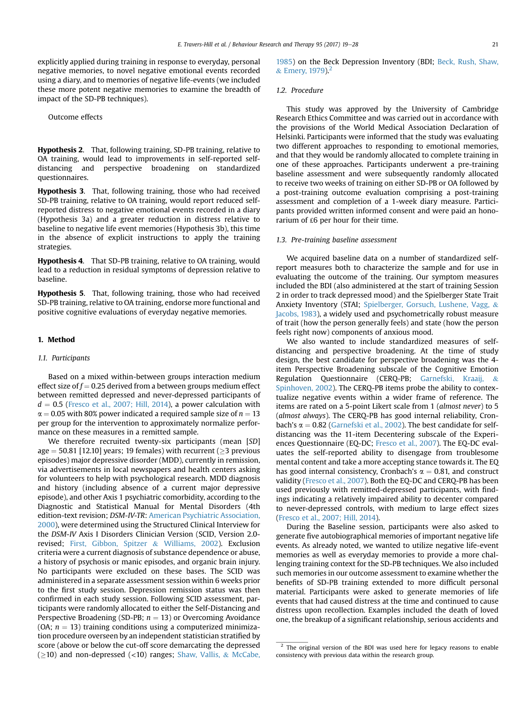explicitly applied during training in response to everyday, personal negative memories, to novel negative emotional events recorded using a diary, and to memories of negative life-events (we included these more potent negative memories to examine the breadth of impact of the SD-PB techniques).

Outcome effects

Hypothesis 2. That, following training, SD-PB training, relative to OA training, would lead to improvements in self-reported selfdistancing and perspective broadening on standardized questionnaires.

Hypothesis 3. That, following training, those who had received SD-PB training, relative to OA training, would report reduced selfreported distress to negative emotional events recorded in a diary (Hypothesis 3a) and a greater reduction in distress relative to baseline to negative life event memories (Hypothesis 3b), this time in the absence of explicit instructions to apply the training strategies.

Hypothesis 4. That SD-PB training, relative to OA training, would lead to a reduction in residual symptoms of depression relative to baseline.

Hypothesis 5. That, following training, those who had received SD-PB training, relative to OA training, endorse more functional and positive cognitive evaluations of everyday negative memories.

#### 1. Method

#### 1.1. Participants

Based on a mixed within-between groups interaction medium effect size of  $f = 0.25$  derived from a between groups medium effect between remitted depressed and never-depressed participants of  $d = 0.5$  (Fresco et al., 2007; Hill, 2014), a power calculation with  $\alpha$  = 0.05 with 80% power indicated a required sample size of  $n = 13$ per group for the intervention to approximately normalize performance on these measures in a remitted sample.

We therefore recruited twenty-six participants (mean [SD] age  $=$  50.81 [12.10] years; 19 females) with recurrent ( $\geq$ 3 previous episodes) major depressive disorder (MDD), currently in remission, via advertisements in local newspapers and health centers asking for volunteers to help with psychological research. MDD diagnosis and history (including absence of a current major depressive episode), and other Axis 1 psychiatric comorbidity, according to the Diagnostic and Statistical Manual for Mental Disorders (4th edition-text revision; DSM-IV-TR: American Psychiatric Association, 2000), were determined using the Structured Clinical Interview for the DSM-IV Axis I Disorders Clinician Version (SCID, Version 2.0 revised; First, Gibbon, Spitzer & Williams, 2002). Exclusion criteria were a current diagnosis of substance dependence or abuse, a history of psychosis or manic episodes, and organic brain injury. No participants were excluded on these bases. The SCID was administered in a separate assessment session within 6 weeks prior to the first study session. Depression remission status was then confirmed in each study session. Following SCID assessment, participants were randomly allocated to either the Self-Distancing and Perspective Broadening (SD-PB;  $n = 13$ ) or Overcoming Avoidance (OA;  $n = 13$ ) training conditions using a computerized minimization procedure overseen by an independent statistician stratified by score (above or below the cut-off score demarcating the depressed  $(\geq 10)$  and non-depressed (<10) ranges; Shaw, Vallis, & McCabe,

1985) on the Beck Depression Inventory (BDI; Beck, Rush, Shaw,  $&$  Emery, 1979).<sup>2</sup>

#### 1.2. Procedure

This study was approved by the University of Cambridge Research Ethics Committee and was carried out in accordance with the provisions of the World Medical Association Declaration of Helsinki. Participants were informed that the study was evaluating two different approaches to responding to emotional memories, and that they would be randomly allocated to complete training in one of these approaches. Participants underwent a pre-training baseline assessment and were subsequently randomly allocated to receive two weeks of training on either SD-PB or OA followed by a post-training outcome evaluation comprising a post-training assessment and completion of a 1-week diary measure. Participants provided written informed consent and were paid an honorarium of £6 per hour for their time.

#### 1.3. Pre-training baseline assessment

We acquired baseline data on a number of standardized selfreport measures both to characterize the sample and for use in evaluating the outcome of the training. Our symptom measures included the BDI (also administered at the start of training Session 2 in order to track depressed mood) and the Spielberger State Trait Anxiety Inventory (STAI; Spielberger, Gorsuch, Lushene, Vagg, & Jacobs, 1983), a widely used and psychometrically robust measure of trait (how the person generally feels) and state (how the person feels right now) components of anxious mood.

We also wanted to include standardized measures of selfdistancing and perspective broadening. At the time of study design, the best candidate for perspective broadening was the 4 item Perspective Broadening subscale of the Cognitive Emotion Regulation Questionnaire (CERQ-PB; Garnefski, Kraaij, & Spinhoven, 2002). The CERQ-PB items probe the ability to contextualize negative events within a wider frame of reference. The items are rated on a 5-point Likert scale from 1 (almost never) to 5 (almost always). The CERQ-PB has good internal reliability, Cronbach's  $\alpha = 0.82$  (Garnefski et al., 2002). The best candidate for selfdistancing was the 11-item Decentering subscale of the Experiences Questionnaire (EQ-DC; Fresco et al., 2007). The EQ-DC evaluates the self-reported ability to disengage from troublesome mental content and take a more accepting stance towards it. The EQ has good internal consistency, Cronbach's  $\alpha = 0.81$ , and construct validity (Fresco et al., 2007). Both the EQ-DC and CERQ-PB has been used previously with remitted-depressed participants, with findings indicating a relatively impaired ability to decenter compared to never-depressed controls, with medium to large effect sizes (Fresco et al., 2007; Hill, 2014).

During the Baseline session, participants were also asked to generate five autobiographical memories of important negative life events. As already noted, we wanted to utilize negative life-event memories as well as everyday memories to provide a more challenging training context for the SD-PB techniques. We also included such memories in our outcome assessment to examine whether the benefits of SD-PB training extended to more difficult personal material. Participants were asked to generate memories of life events that had caused distress at the time and continued to cause distress upon recollection. Examples included the death of loved one, the breakup of a significant relationship, serious accidents and

<sup>&</sup>lt;sup>2</sup> The original version of the BDI was used here for legacy reasons to enable consistency with previous data within the research group.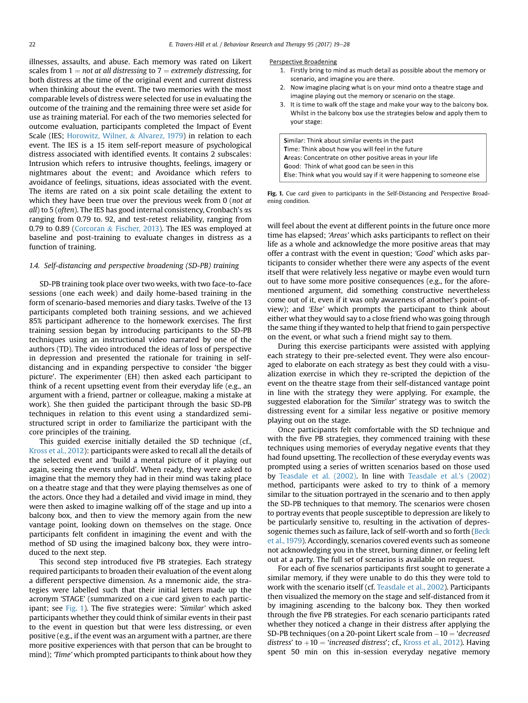illnesses, assaults, and abuse. Each memory was rated on Likert scales from  $1 = not$  at all distressing to  $7 =$  extremely distressing, for both distress at the time of the original event and current distress when thinking about the event. The two memories with the most comparable levels of distress were selected for use in evaluating the outcome of the training and the remaining three were set aside for use as training material. For each of the two memories selected for outcome evaluation, participants completed the Impact of Event Scale (IES; Horowitz, Wilner, & Alvarez, 1979) in relation to each event. The IES is a 15 item self-report measure of psychological distress associated with identified events. It contains 2 subscales: Intrusion which refers to intrusive thoughts, feelings, imagery or nightmares about the event; and Avoidance which refers to avoidance of feelings, situations, ideas associated with the event. The items are rated on a six point scale detailing the extent to which they have been true over the previous week from 0 (not at all) to 5 (often). The IES has good internal consistency, Cronbach's  $\alpha s$ ranging from 0.79 to. 92, and test-retest reliability, ranging from 0.79 to 0.89 (Corcoran & Fischer, 2013). The IES was employed at baseline and post-training to evaluate changes in distress as a function of training.

#### 1.4. Self-distancing and perspective broadening (SD-PB) training

SD-PB training took place over two weeks, with two face-to-face sessions (one each week) and daily home-based training in the form of scenario-based memories and diary tasks. Twelve of the 13 participants completed both training sessions, and we achieved 85% participant adherence to the homework exercises. The first training session began by introducing participants to the SD-PB techniques using an instructional video narrated by one of the authors (TD). The video introduced the ideas of loss of perspective in depression and presented the rationale for training in selfdistancing and in expanding perspective to consider 'the bigger picture'. The experimenter (EH) then asked each participant to think of a recent upsetting event from their everyday life (e.g., an argument with a friend, partner or colleague, making a mistake at work). She then guided the participant through the basic SD-PB techniques in relation to this event using a standardized semistructured script in order to familiarize the participant with the core principles of the training.

This guided exercise initially detailed the SD technique (cf., Kross et al., 2012): participants were asked to recall all the details of the selected event and 'build a mental picture of it playing out again, seeing the events unfold'. When ready, they were asked to imagine that the memory they had in their mind was taking place on a theatre stage and that they were playing themselves as one of the actors. Once they had a detailed and vivid image in mind, they were then asked to imagine walking off of the stage and up into a balcony box, and then to view the memory again from the new vantage point, looking down on themselves on the stage. Once participants felt confident in imagining the event and with the method of SD using the imagined balcony box, they were introduced to the next step.

This second step introduced five PB strategies. Each strategy required participants to broaden their evaluation of the event along a different perspective dimension. As a mnemonic aide, the strategies were labelled such that their initial letters made up the acronym 'STAGE' (summarized on a cue card given to each participant; see Fig. 1). The five strategies were: 'Similar' which asked participants whether they could think of similar events in their past to the event in question but that were less distressing, or even positive (e.g., if the event was an argument with a partner, are there more positive experiences with that person that can be brought to mind); 'Time' which prompted participants to think about how they

#### Perspective Broadening

- 1. Firstly bring to mind as much detail as possible about the memory or scenario, and imagine you are there.
- 2. Now imagine placing what is on your mind onto a theatre stage and imagine playing out the memory or scenario on the stage.
- 3. It is time to walk off the stage and make your way to the balcony box. Whilst in the balcony box use the strategies below and apply them to vour stage:
- Similar: Think about similar events in the past Time: Think about how you will feel in the future Areas: Concentrate on other positive areas in your life Good: Think of what good can be seen in this Else: Think what you would say if it were happening to someone else

Fig. 1. Cue card given to participants in the Self-Distancing and Perspective Broadening condition.

will feel about the event at different points in the future once more time has elapsed; 'Areas' which asks participants to reflect on their life as a whole and acknowledge the more positive areas that may offer a contrast with the event in question; 'Good' which asks participants to consider whether there were any aspects of the event itself that were relatively less negative or maybe even would turn out to have some more positive consequences (e.g., for the aforementioned argument, did something constructive nevertheless come out of it, even if it was only awareness of another's point-ofview); and 'Else' which prompts the participant to think about either what they would say to a close friend who was going through the same thing if they wanted to help that friend to gain perspective on the event, or what such a friend might say to them.

During this exercise participants were assisted with applying each strategy to their pre-selected event. They were also encouraged to elaborate on each strategy as best they could with a visualization exercise in which they re-scripted the depiction of the event on the theatre stage from their self-distanced vantage point in line with the strategy they were applying. For example, the suggested elaboration for the 'Similar' strategy was to switch the distressing event for a similar less negative or positive memory playing out on the stage.

Once participants felt comfortable with the SD technique and with the five PB strategies, they commenced training with these techniques using memories of everyday negative events that they had found upsetting. The recollection of these everyday events was prompted using a series of written scenarios based on those used by Teasdale et al. (2002). In line with Teasdale et al.'s (2002) method, participants were asked to try to think of a memory similar to the situation portrayed in the scenario and to then apply the SD-PB techniques to that memory. The scenarios were chosen to portray events that people susceptible to depression are likely to be particularly sensitive to, resulting in the activation of depressogenic themes such as failure, lack of self-worth and so forth (Beck et al., 1979). Accordingly, scenarios covered events such as someone not acknowledging you in the street, burning dinner, or feeling left out at a party. The full set of scenarios is available on request.

For each of five scenarios participants first sought to generate a similar memory, if they were unable to do this they were told to work with the scenario itself (cf. Teasdale et al., 2002). Participants then visualized the memory on the stage and self-distanced from it by imagining ascending to the balcony box. They then worked through the five PB strategies. For each scenario participants rated whether they noticed a change in their distress after applying the SD-PB techniques (on a 20-point Likert scale from  $-10 = 4$  decreased distress' to  $+10 =$  'increased distress'; cf., Kross et al., 2012). Having spent 50 min on this in-session everyday negative memory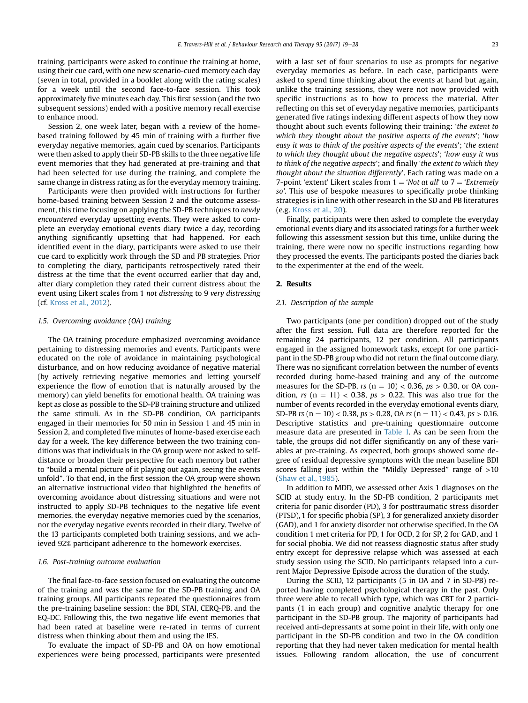training, participants were asked to continue the training at home, using their cue card, with one new scenario-cued memory each day (seven in total, provided in a booklet along with the rating scales) for a week until the second face-to-face session. This took approximately five minutes each day. This first session (and the two subsequent sessions) ended with a positive memory recall exercise to enhance mood.

Session 2, one week later, began with a review of the homebased training followed by 45 min of training with a further five everyday negative memories, again cued by scenarios. Participants were then asked to apply their SD-PB skills to the three negative life event memories that they had generated at pre-training and that had been selected for use during the training, and complete the same change in distress rating as for the everyday memory training.

Participants were then provided with instructions for further home-based training between Session 2 and the outcome assessment, this time focusing on applying the SD-PB techniques to newly encountered everyday upsetting events. They were asked to complete an everyday emotional events diary twice a day, recording anything significantly upsetting that had happened. For each identified event in the diary, participants were asked to use their cue card to explicitly work through the SD and PB strategies. Prior to completing the diary, participants retrospectively rated their distress at the time that the event occurred earlier that day and, after diary completion they rated their current distress about the event using Likert scales from 1 not distressing to 9 very distressing (cf. Kross et al., 2012).

#### 1.5. Overcoming avoidance (OA) training

The OA training procedure emphasized overcoming avoidance pertaining to distressing memories and events. Participants were educated on the role of avoidance in maintaining psychological disturbance, and on how reducing avoidance of negative material (by actively retrieving negative memories and letting yourself experience the flow of emotion that is naturally aroused by the memory) can yield benefits for emotional health. OA training was kept as close as possible to the SD-PB training structure and utilized the same stimuli. As in the SD-PB condition, OA participants engaged in their memories for 50 min in Session 1 and 45 min in Session 2, and completed five minutes of home-based exercise each day for a week. The key difference between the two training conditions was that individuals in the OA group were not asked to selfdistance or broaden their perspective for each memory but rather to "build a mental picture of it playing out again, seeing the events unfold". To that end, in the first session the OA group were shown an alternative instructional video that highlighted the benefits of overcoming avoidance about distressing situations and were not instructed to apply SD-PB techniques to the negative life event memories, the everyday negative memories cued by the scenarios, nor the everyday negative events recorded in their diary. Twelve of the 13 participants completed both training sessions, and we achieved 92% participant adherence to the homework exercises.

#### 1.6. Post-training outcome evaluation

The final face-to-face session focused on evaluating the outcome of the training and was the same for the SD-PB training and OA training groups. All participants repeated the questionnaires from the pre-training baseline session: the BDI, STAI, CERQ-PB, and the EQ-DC. Following this, the two negative life event memories that had been rated at baseline were re-rated in terms of current distress when thinking about them and using the IES.

To evaluate the impact of SD-PB and OA on how emotional experiences were being processed, participants were presented with a last set of four scenarios to use as prompts for negative everyday memories as before. In each case, participants were asked to spend time thinking about the events at hand but again, unlike the training sessions, they were not now provided with specific instructions as to how to process the material. After reflecting on this set of everyday negative memories, participants generated five ratings indexing different aspects of how they now thought about such events following their training: 'the extent to which they thought about the positive aspects of the events'; 'how easy it was to think of the positive aspects of the events'; 'the extent to which they thought about the negative aspects'; 'how easy it was to think of the negative aspects'; and finally 'the extent to which they thought about the situation differently'. Each rating was made on a 7-point 'extent' Likert scales from  $1 = 'Not at all'$  to  $7 = 'Extremely$ so'. This use of bespoke measures to specifically probe thinking strategies is in line with other research in the SD and PB literatures (e.g. Kross et al., 20).

Finally, participants were then asked to complete the everyday emotional events diary and its associated ratings for a further week following this assessment session but this time, unlike during the training, there were now no specific instructions regarding how they processed the events. The participants posted the diaries back to the experimenter at the end of the week.

#### 2. Results

#### 2.1. Description of the sample

Two participants (one per condition) dropped out of the study after the first session. Full data are therefore reported for the remaining 24 participants, 12 per condition. All participants engaged in the assigned homework tasks, except for one participant in the SD-PB group who did not return the final outcome diary. There was no significant correlation between the number of events recorded during home-based training and any of the outcome measures for the SD-PB,  $rs$  ( $n = 10$ ) < 0.36,  $ps > 0.30$ , or OA condition, rs  $(n = 11) < 0.38$ ,  $ps > 0.22$ . This was also true for the number of events recorded in the everyday emotional events diary, SD-PB rs ( $n = 10$ ) < 0.38,  $ps > 0.28$ , OA rs ( $n = 11$ ) < 0.43,  $ps > 0.16$ . Descriptive statistics and pre-training questionnaire outcome measure data are presented in Table 1. As can be seen from the table, the groups did not differ significantly on any of these variables at pre-training. As expected, both groups showed some degree of residual depressive symptoms with the mean baseline BDI scores falling just within the "Mildly Depressed" range of >10 (Shaw et al., 1985).

In addition to MDD, we assessed other Axis 1 diagnoses on the SCID at study entry. In the SD-PB condition, 2 participants met criteria for panic disorder (PD), 3 for posttraumatic stress disorder (PTSD), 1 for specific phobia (SP), 3 for generalized anxiety disorder (GAD), and 1 for anxiety disorder not otherwise specified. In the OA condition 1 met criteria for PD, 1 for OCD, 2 for SP, 2 for GAD, and 1 for social phobia. We did not reassess diagnostic status after study entry except for depressive relapse which was assessed at each study session using the SCID. No participants relapsed into a current Major Depressive Episode across the duration of the study.

During the SCID, 12 participants (5 in OA and 7 in SD-PB) reported having completed psychological therapy in the past. Only three were able to recall which type, which was CBT for 2 participants (1 in each group) and cognitive analytic therapy for one participant in the SD-PB group. The majority of participants had received anti-depressants at some point in their life, with only one participant in the SD-PB condition and two in the OA condition reporting that they had never taken medication for mental health issues. Following random allocation, the use of concurrent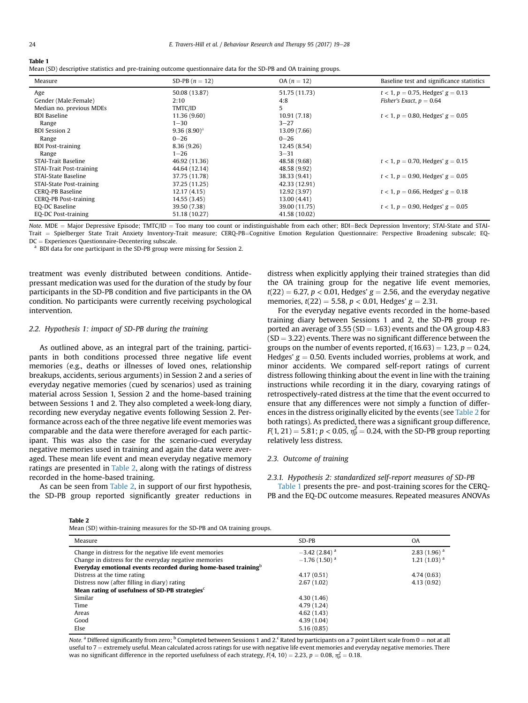#### Table 1

Mean (SD) descriptive statistics and pre-training outcome questionnaire data for the SD-PB and OA training groups.

| Measure                  | SD-PB $(n = 12)$ | $OA (n = 12)$ | Baseline test and significance statistics |
|--------------------------|------------------|---------------|-------------------------------------------|
| Age                      | 50.08 (13.87)    | 51.75 (11.73) | $t < 1$ , $p = 0.75$ , Hedges' $g = 0.13$ |
| Gender (Male:Female)     | 2:10             | 4:8           | Fisher's Exact, $p = 0.64$                |
| Median no. previous MDEs | TMTC/ID          | 5             |                                           |
| <b>BDI Baseline</b>      | 11.36 (9.60)     | 10.91 (7.18)  | $t < 1$ , $p = 0.80$ , Hedges' $g = 0.05$ |
| Range                    | $1 - 30$         | $3 - 27$      |                                           |
| <b>BDI</b> Session 2     | $9.36(8.90)^a$   | 13.09 (7.66)  |                                           |
| Range                    | $0 - 26$         | $0 - 26$      |                                           |
| <b>BDI</b> Post-training | 8.36(9.26)       | 12.45 (8.54)  |                                           |
| Range                    | $1 - 26$         | $3 - 31$      |                                           |
| STAI-Trait Baseline      | 46.92 (11.36)    | 48.58 (9.68)  | $t < 1$ , $p = 0.70$ , Hedges' $g = 0.15$ |
| STAI-Trait Post-training | 44.64 (12.14)    | 48.58 (9.92)  |                                           |
| STAI-State Baseline      | 37.75 (11.78)    | 38.33 (9.41)  | $t < 1$ , $p = 0.90$ , Hedges' $g = 0.05$ |
| STAI-State Post-training | 37.25 (11.25)    | 42.33 (12.91) |                                           |
| CERO-PB Baseline         | 12.17 (4.15)     | 12.92 (3.97)  | $t < 1$ , $p = 0.66$ , Hedges' $g = 0.18$ |
| CERO-PB Post-training    | 14.55 (3.45)     | 13.00 (4.41)  |                                           |
| EQ-DC Baseline           | 39.50 (7.38)     | 39.00 (11.75) | $t < 1$ , $p = 0.90$ , Hedges' $g = 0.05$ |
| EQ-DC Post-training      | 51.18 (10.27)    | 41.58 (10.02) |                                           |

Note. MDE = Major Depressive Episode; TMTC/ID = Too many too count or indistinguishable from each other; BDI=Beck Depression Inventory; STAI-State and STAI-Trait = Spielberger State Trait Anxiety Inventory-Trait measure; CERQ-PB=Cognitive Emotion Regulation Questionnaire: Perspective Broadening subscale; EQ-<br>DC = Experiences Questionnaire-Decentering subscale.

<sup>a</sup> BDI data for one participant in the SD-PB group were missing for Session 2.

treatment was evenly distributed between conditions. Antidepressant medication was used for the duration of the study by four participants in the SD-PB condition and five participants in the OA condition. No participants were currently receiving psychological intervention.

#### 2.2. Hypothesis 1: impact of SD-PB during the training

As outlined above, as an integral part of the training, participants in both conditions processed three negative life event memories (e.g., deaths or illnesses of loved ones, relationship breakups, accidents, serious arguments) in Session 2 and a series of everyday negative memories (cued by scenarios) used as training material across Session 1, Session 2 and the home-based training between Sessions 1 and 2. They also completed a week-long diary, recording new everyday negative events following Session 2. Performance across each of the three negative life event memories was comparable and the data were therefore averaged for each participant. This was also the case for the scenario-cued everyday negative memories used in training and again the data were averaged. These mean life event and mean everyday negative memory ratings are presented in Table 2, along with the ratings of distress recorded in the home-based training.

As can be seen from Table 2, in support of our first hypothesis, the SD-PB group reported significantly greater reductions in distress when explicitly applying their trained strategies than did the OA training group for the negative life event memories,  $t(22) = 6.27$ ,  $p < 0.01$ , Hedges'  $g = 2.56$ , and the everyday negative memories,  $t(22) = 5.58$ ,  $p < 0.01$ , Hedges'  $g = 2.31$ .

For the everyday negative events recorded in the home-based training diary between Sessions 1 and 2, the SD-PB group reported an average of 3.55 (SD  $=$  1.63) events and the OA group 4.83  $(SD = 3.22)$  events. There was no significant difference between the groups on the number of events reported,  $t(16.63) = 1.23$ ,  $p = 0.24$ , Hedges'  $g = 0.50$ . Events included worries, problems at work, and minor accidents. We compared self-report ratings of current distress following thinking about the event in line with the training instructions while recording it in the diary, covarying ratings of retrospectively-rated distress at the time that the event occurred to ensure that any differences were not simply a function of differences in the distress originally elicited by the events (see Table 2 for both ratings). As predicted, there was a significant group difference,  $F(1, 21) = 5.81$ ;  $p < 0.05$ ,  $\eta_p^2 = 0.24$ , with the SD-PB group reporting relatively less distress.

#### 2.3. Outcome of training

2.3.1. Hypothesis 2: standardized self-report measures of SD-PB

Table 1 presents the pre- and post-training scores for the CERQ-PB and the EQ-DC outcome measures. Repeated measures ANOVAs

Table 2

Mean (SD) within-training measures for the SD-PB and OA training groups.

| Measure                                                                    | $SD-PB$                     | <b>OA</b>        |
|----------------------------------------------------------------------------|-----------------------------|------------------|
| Change in distress for the negative life event memories                    | $-3.42$ (2.84) <sup>a</sup> | $2.83(1.96)^{a}$ |
| Change in distress for the everyday negative memories                      | $-1.76(1.50)^{a}$           | $1.21(1.03)^{a}$ |
| Everyday emotional events recorded during home-based training <sup>b</sup> |                             |                  |
| Distress at the time rating                                                | 4.17(0.51)                  | 4.74(0.63)       |
| Distress now (after filling in diary) rating                               | 2.67(1.02)                  | 4.13(0.92)       |
| Mean rating of usefulness of SD-PB strategies <sup>c</sup>                 |                             |                  |
| Similar                                                                    | 4.30(1.46)                  |                  |
| Time                                                                       | 4.79 (1.24)                 |                  |
| Areas                                                                      | 4.62(1.43)                  |                  |
| Good                                                                       | 4.39(1.04)                  |                  |
| Else                                                                       | 5.16(0.85)                  |                  |

Note. <sup>a</sup> Differed significantly from zero; <sup>b</sup> Completed between Sessions 1 and 2.<sup>c</sup> Rated by participants on a 7 point Likert scale from 0 = not at all useful to  $7$  = extremely useful. Mean calculated across ratings for use with negative life event memories and everyday negative memories. There was no significant difference in the reported usefulness of each strategy,  $F(4, 10) = 2.23$ ,  $p = 0.08$ ,  $\eta_p^2 = 0.18$ .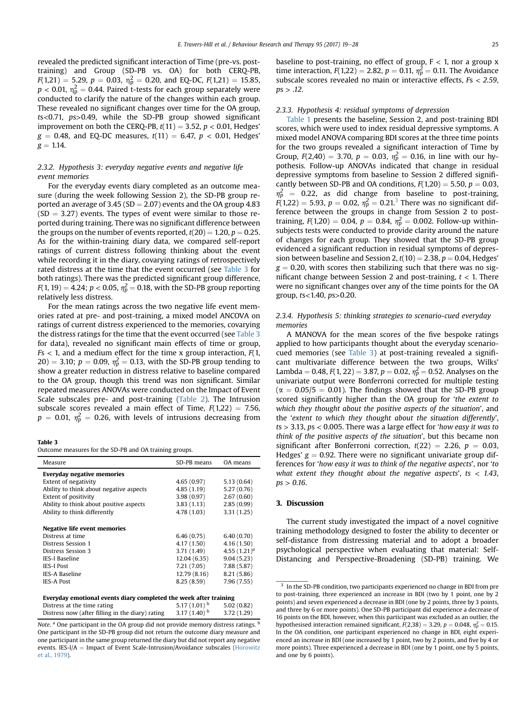revealed the predicted significant interaction of Time (pre-vs. posttraining) and Group (SD-PB vs. OA) for both CERQ-PB,  $F(1,21) = 5.29, p = 0.03, \eta_p^2 = 0.20, \text{ and } EQ-DC, F(1,21) = 15.85,$  $p < 0.01$ ,  $\eta_{\rm p}^2 = 0.44$ . Paired t-tests for each group separately were conducted to clarify the nature of the changes within each group. These revealed no significant changes over time for the OA group, ts<0.71, ps>0.49, while the SD-PB group showed significant improvement on both the CERQ-PB,  $t(11) = 3.52$ ,  $p < 0.01$ , Hedges'  $g = 0.48$ , and EQ-DC measures,  $t(11) = 6.47$ ,  $p < 0.01$ , Hedges'  $g = 1.14$ .

#### 2.3.2. Hypothesis 3: everyday negative events and negative life event memories

For the everyday events diary completed as an outcome measure (during the week following Session 2), the SD-PB group reported an average of  $3.45$  (SD = 2.07) events and the OA group 4.83  $(SD = 3.27)$  events. The types of event were similar to those reported during training. There was no significant difference between the groups on the number of events reported,  $t(20) = 1.20$ ,  $p = 0.25$ . As for the within-training diary data, we compared self-report ratings of current distress following thinking about the event while recording it in the diary, covarying ratings of retrospectively rated distress at the time that the event occurred (see Table 3 for both ratings). There was the predicted significant group difference,  $F(1, 19) = 4.24; p < 0.05, \eta_p^2 = 0.18$ , with the SD-PB group reporting relatively less distress.

For the mean ratings across the two negative life event memories rated at pre- and post-training, a mixed model ANCOVA on ratings of current distress experienced to the memories, covarying the distress ratings for the time that the event occurred (see Table 3 for data), revealed no significant main effects of time or group,  $Fs < 1$ , and a medium effect for the time x group interaction,  $F(1)$ ,  $20) = 3.10$ ;  $p = 0.09$ ,  $\eta_p^2 = 0.13$ , with the SD-PB group tending to show a greater reduction in distress relative to baseline compared to the OA group, though this trend was non significant. Similar repeated measures ANOVAs were conducted on the Impact of Event Scale subscales pre- and post-training (Table 2). The Intrusion subscale scores revealed a main effect of Time,  $F(1,22) = 7.56$ ,  $p = 0.01$ ,  $\eta_p^2 = 0.26$ , with levels of intrusions decreasing from

#### Table 3

Outcome measures for the SD-PB and OA training groups.

| Measure                                                           | SD-PB means       | OA means        |  |  |
|-------------------------------------------------------------------|-------------------|-----------------|--|--|
| Everyday negative memories                                        |                   |                 |  |  |
| Extent of negativity                                              | 4.65(0.97)        | 5.13(0.64)      |  |  |
| Ability to think about negative aspects                           | 4.85(1.19)        | 5.27(0.76)      |  |  |
| <b>Extent of positivity</b>                                       | 3.98(0.97)        | 2.67(0.60)      |  |  |
| Ability to think about positive aspects                           | 3.83(1.13)        | 2.85(0.99)      |  |  |
| Ability to think differently                                      | 4.78 (1.03)       | 3.31(1.25)      |  |  |
|                                                                   |                   |                 |  |  |
| Negative life event memories                                      |                   |                 |  |  |
| Distress at time                                                  | 6.46(0.75)        | 6.40(0.70)      |  |  |
| Distress Session 1                                                | 4.17 (1.50)       | 4.16(1.50)      |  |  |
| Distress Session 3                                                | 3.71(1.49)        | 4.55 $(1.21)^a$ |  |  |
| <b>IES-I Baseline</b>                                             | 12.04 (6.35)      | 9.04(5.23)      |  |  |
| <b>IES-I Post</b>                                                 | 7.21 (7.05)       | 7.88 (5.87)     |  |  |
| <b>IES-A Baseline</b>                                             | 12.79 (8.16)      | 8.21 (5.86)     |  |  |
| <b>IES-A Post</b>                                                 | 8.25(8.59)        | 7.96 (7.55)     |  |  |
|                                                                   |                   |                 |  |  |
| Everyday emotional events diary completed the week after training |                   |                 |  |  |
| Distress at the time rating                                       | 5.17 $(1.01)^b$   | 5.02(0.82)      |  |  |
| Distress now (after filling in the diary) rating                  | 3.17 $(1.40)^{b}$ | 3.72(1.29)      |  |  |
|                                                                   |                   |                 |  |  |

Note.  $a$  One participant in the OA group did not provide memory distress ratings.  $b$ One participant in the SD-PB group did not return the outcome diary measure and one participant in the same group returned the diary but did not report any negative events. IES-I/ $A =$  Impact of Event Scale-Intrusion/Avoidance subscales (Horowitz et al., 1979).

baseline to post-training, no effect of group,  $F < 1$ , nor a group x time interaction,  $F(1,22) = 2.82$ ,  $p = 0.11$ ,  $\eta_p^2 = 0.11$ . The Avoidance subscale scores revealed no main or interactive effects, Fs < 2.59,  $ps > .12$ .

#### 2.3.3. Hypothesis 4: residual symptoms of depression

Table 1 presents the baseline, Session 2, and post-training BDI scores, which were used to index residual depressive symptoms. A mixed model ANOVA comparing BDI scores at the three time points for the two groups revealed a significant interaction of Time by Group,  $F(2,40) = 3.70$ ,  $p = 0.03$ ,  $\eta_p^2 = 0.16$ , in line with our hypothesis. Follow-up ANOVAs indicated that change in residual depressive symptoms from baseline to Session 2 differed significantly between SD-PB and OA conditions,  $F(1,20) = 5.50$ ,  $p = 0.03$ ,  $\eta_p^2$  = 0.22, as did change from baseline to post-training,  $F(1,22) = 5.93, p = 0.02, \eta_p^2 = 0.21$ .<sup>3</sup> There was no significant difference between the groups in change from Session 2 to posttraining,  $F(1,20) = 0.04$ ,  $p = 0.84$ ,  $\eta_p^2 = 0.002$ . Follow-up withinsubjects tests were conducted to provide clarity around the nature of changes for each group. They showed that the SD-PB group evidenced a significant reduction in residual symptoms of depression between baseline and Session 2,  $t(10) = 2.38$ ,  $p = 0.04$ , Hedges'  $g = 0.20$ , with scores then stabilizing such that there was no significant change between Session 2 and post-training,  $t < 1$ . There were no significant changes over any of the time points for the OA group, ts<1.40, ps>0.20.

#### 2.3.4. Hypothesis 5: thinking strategies to scenario-cued everyday memories

A MANOVA for the mean scores of the five bespoke ratings applied to how participants thought about the everyday scenariocued memories (see Table 3) at post-training revealed a significant multivariate difference between the two groups, Wilks' Lambda = 0.48,  $F(1, 22) = 3.87$ ,  $p = 0.02$ ,  $\eta_p^2 = 0.52$ . Analyses on the univariate output were Bonferroni corrected for multiple testing ( $\alpha$  = 0.05/5 = 0.01). The findings showed that the SD-PB group scored significantly higher than the OA group for 'the extent to which they thought about the positive aspects of the situation', and the 'extent to which they thought about the situation differently',  $ts > 3.13$ ,  $ps < 0.005$ . There was a large effect for 'how easy it was to think of the positive aspects of the situation', but this became non significant after Bonferroni correction,  $t(22) = 2.26$ ,  $p = 0.03$ , Hedges'  $g = 0.92$ . There were no significant univariate group differences for 'how easy it was to think of the negative aspects', nor 'to what extent they thought about the negative aspects', ts  $<$  1.43,  $ps > 0.16$ .

#### 3. Discussion

The current study investigated the impact of a novel cognitive training methodology designed to foster the ability to decenter or self-distance from distressing material and to adopt a broader psychological perspective when evaluating that material: Self-Distancing and Perspective-Broadening (SD-PB) training. We

<sup>&</sup>lt;sup>3</sup> In the SD-PB condition, two participants experienced no change in BDI from pre to post-training, three experienced an increase in BDI (two by 1 point, one by 2 points) and seven experienced a decrease in BDI (one by 2 points, three by 3 points, and three by 6 or more points). One SD-PB participant did experience a decrease of 16 points on the BDI, however, when this participant was excluded as an outlier, the hypothesised interaction remained significant,  $F(2,38) = 3.29$ ,  $p = 0.048$ ,  $\eta_p^2 = 0.15$ . In the OA condition, one participant experienced no change in BDI, eight experienced an increase in BDI (one increased by 1 point, two by 2 points, and five by 4 or more points). Three experienced a decrease in BDI (one by 1 point, one by 5 points, and one by 6 points).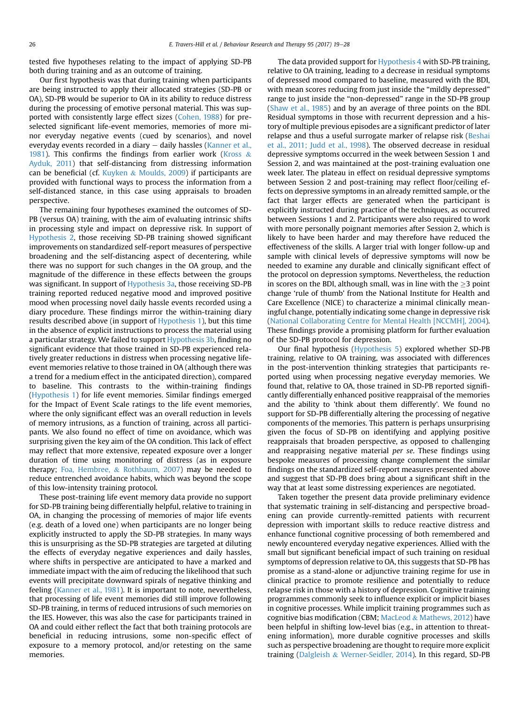tested five hypotheses relating to the impact of applying SD-PB both during training and as an outcome of training.

Our first hypothesis was that during training when participants are being instructed to apply their allocated strategies (SD-PB or OA), SD-PB would be superior to OA in its ability to reduce distress during the processing of emotive personal material. This was supported with consistently large effect sizes (Cohen, 1988) for preselected significant life-event memories, memories of more minor everyday negative events (cued by scenarios), and novel everyday events recorded in a diary  $-$  daily hassles (Kanner et al., 1981). This confirms the findings from earlier work (Kross  $\&$ Ayduk, 2011) that self-distancing from distressing information can be beneficial (cf. Kuyken  $&$  Moulds, 2009) if participants are provided with functional ways to process the information from a self-distanced stance, in this case using appraisals to broaden perspective.

The remaining four hypotheses examined the outcomes of SD-PB (versus OA) training, with the aim of evaluating intrinsic shifts in processing style and impact on depressive risk. In support of Hypothesis 2, those receiving SD-PB training showed significant improvements on standardized self-report measures of perspective broadening and the self-distancing aspect of decentering, while there was no support for such changes in the OA group, and the magnitude of the difference in these effects between the groups was significant. In support of Hypothesis 3a, those receiving SD-PB training reported reduced negative mood and improved positive mood when processing novel daily hassle events recorded using a diary procedure. These findings mirror the within-training diary results described above (in support of Hypothesis 1), but this time in the absence of explicit instructions to process the material using a particular strategy. We failed to support Hypothesis 3b, finding no significant evidence that those trained in SD-PB experienced relatively greater reductions in distress when processing negative lifeevent memories relative to those trained in OA (although there was a trend for a medium effect in the anticipated direction), compared to baseline. This contrasts to the within-training findings (Hypothesis 1) for life event memories. Similar findings emerged for the Impact of Event Scale ratings to the life event memories, where the only significant effect was an overall reduction in levels of memory intrusions, as a function of training, across all participants. We also found no effect of time on avoidance, which was surprising given the key aim of the OA condition. This lack of effect may reflect that more extensive, repeated exposure over a longer duration of time using monitoring of distress (as in exposure therapy; Foa, Hembree, & Rothbaum, 2007) may be needed to reduce entrenched avoidance habits, which was beyond the scope of this low-intensity training protocol.

These post-training life event memory data provide no support for SD-PB training being differentially helpful, relative to training in OA, in changing the processing of memories of major life events (e.g. death of a loved one) when participants are no longer being explicitly instructed to apply the SD-PB strategies. In many ways this is unsurprising as the SD-PB strategies are targeted at diluting the effects of everyday negative experiences and daily hassles, where shifts in perspective are anticipated to have a marked and immediate impact with the aim of reducing the likelihood that such events will precipitate downward spirals of negative thinking and feeling (Kanner et al., 1981). It is important to note, nevertheless, that processing of life event memories did still improve following SD-PB training, in terms of reduced intrusions of such memories on the IES. However, this was also the case for participants trained in OA and could either reflect the fact that both training protocols are beneficial in reducing intrusions, some non-specific effect of exposure to a memory protocol, and/or retesting on the same memories.

The data provided support for Hypothesis 4 with SD-PB training, relative to OA training, leading to a decrease in residual symptoms of depressed mood compared to baseline, measured with the BDI, with mean scores reducing from just inside the "mildly depressed" range to just inside the "non-depressed" range in the SD-PB group (Shaw et al., 1985) and by an average of three points on the BDI. Residual symptoms in those with recurrent depression and a history of multiple previous episodes are a significant predictor of later relapse and thus a useful surrogate marker of relapse risk (Beshai et al., 2011; Judd et al., 1998). The observed decrease in residual depressive symptoms occurred in the week between Session 1 and Session 2, and was maintained at the post-training evaluation one week later. The plateau in effect on residual depressive symptoms between Session 2 and post-training may reflect floor/ceiling effects on depressive symptoms in an already remitted sample, or the fact that larger effects are generated when the participant is explicitly instructed during practice of the techniques, as occurred between Sessions 1 and 2. Participants were also required to work with more personally poignant memories after Session 2, which is likely to have been harder and may therefore have reduced the effectiveness of the skills. A larger trial with longer follow-up and sample with clinical levels of depressive symptoms will now be needed to examine any durable and clinically significant effect of the protocol on depression symptoms. Nevertheless, the reduction in scores on the BDI, although small, was in line with the  $\geq$ 3 point change 'rule of thumb' from the National Institute for Health and Care Excellence (NICE) to characterize a minimal clinically meaningful change, potentially indicating some change in depressive risk (National Collaborating Centre for Mental Health [NCCMH], 2004). These findings provide a promising platform for further evaluation of the SD-PB protocol for depression.

Our final hypothesis (Hypothesis 5) explored whether SD-PB training, relative to OA training, was associated with differences in the post-intervention thinking strategies that participants reported using when processing negative everyday memories. We found that, relative to OA, those trained in SD-PB reported significantly differentially enhanced positive reappraisal of the memories and the ability to 'think about them differently'. We found no support for SD-PB differentially altering the processing of negative components of the memories. This pattern is perhaps unsurprising given the focus of SD-PB on identifying and applying positive reappraisals that broaden perspective, as opposed to challenging and reappraising negative material per se. These findings using bespoke measures of processing change complement the similar findings on the standardized self-report measures presented above and suggest that SD-PB does bring about a significant shift in the way that at least some distressing experiences are negotiated.

Taken together the present data provide preliminary evidence that systematic training in self-distancing and perspective broadening can provide currently-remitted patients with recurrent depression with important skills to reduce reactive distress and enhance functional cognitive processing of both remembered and newly encountered everyday negative experiences. Allied with the small but significant beneficial impact of such training on residual symptoms of depression relative to OA, this suggests that SD-PB has promise as a stand-alone or adjunctive training regime for use in clinical practice to promote resilience and potentially to reduce relapse risk in those with a history of depression. Cognitive training programmes commonly seek to influence explicit or implicit biases in cognitive processes. While implicit training programmes such as cognitive bias modification (CBM; MacLeod & Mathews, 2012) have been helpful in shifting low-level bias (e.g., in attention to threatening information), more durable cognitive processes and skills such as perspective broadening are thought to require more explicit training (Dalgleish & Werner-Seidler, 2014). In this regard, SD-PB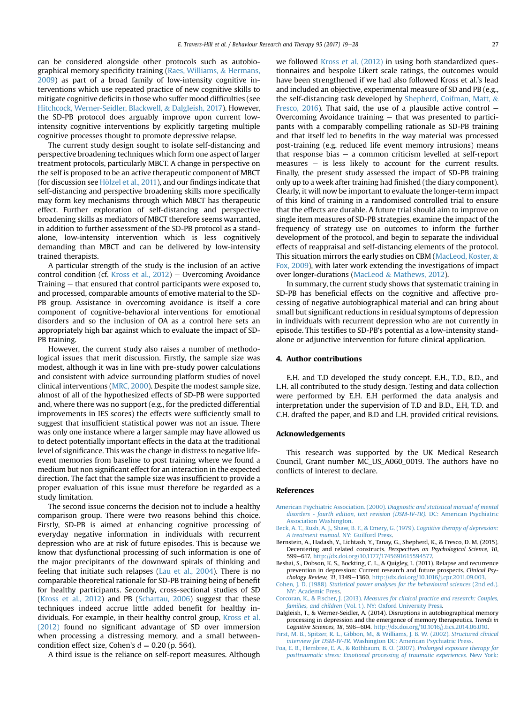can be considered alongside other protocols such as autobiographical memory specificity training (Raes, Williams, & Hermans, 2009) as part of a broad family of low-intensity cognitive interventions which use repeated practice of new cognitive skills to mitigate cognitive deficits in those who suffer mood difficulties (see Hitchcock, Werner-Seidler, Blackwell, & Dalgleish, 2017). However, the SD-PB protocol does arguably improve upon current lowintensity cognitive interventions by explicitly targeting multiple cognitive processes thought to promote depressive relapse.

The current study design sought to isolate self-distancing and perspective broadening techniques which form one aspect of larger treatment protocols, particularly MBCT. A change in perspective on the self is proposed to be an active therapeutic component of MBCT (for discussion see Hölzel et al.,  $2011$ ), and our findings indicate that self-distancing and perspective broadening skills more specifically may form key mechanisms through which MBCT has therapeutic effect. Further exploration of self-distancing and perspective broadening skills as mediators of MBCT therefore seems warranted, in addition to further assessment of the SD-PB protocol as a standalone, low-intensity intervention which is less cognitively demanding than MBCT and can be delivered by low-intensity trained therapists.

A particular strength of the study is the inclusion of an active control condition (cf. Kross et al.,  $2012$ ) – Overcoming Avoidance Training  $-$  that ensured that control participants were exposed to, and processed, comparable amounts of emotive material to the SD-PB group. Assistance in overcoming avoidance is itself a core component of cognitive-behavioral interventions for emotional disorders and so the inclusion of OA as a control here sets an appropriately high bar against which to evaluate the impact of SD-PB training.

However, the current study also raises a number of methodological issues that merit discussion. Firstly, the sample size was modest, although it was in line with pre-study power calculations and consistent with advice surrounding platform studies of novel clinical interventions (MRC, 2000). Despite the modest sample size, almost of all of the hypothesized effects of SD-PB were supported and, where there was no support (e.g., for the predicted differential improvements in IES scores) the effects were sufficiently small to suggest that insufficient statistical power was not an issue. There was only one instance where a larger sample may have allowed us to detect potentially important effects in the data at the traditional level of significance. This was the change in distress to negative lifeevent memories from baseline to post training where we found a medium but non significant effect for an interaction in the expected direction. The fact that the sample size was insufficient to provide a proper evaluation of this issue must therefore be regarded as a study limitation.

The second issue concerns the decision not to include a healthy comparison group. There were two reasons behind this choice. Firstly, SD-PB is aimed at enhancing cognitive processing of everyday negative information in individuals with recurrent depression who are at risk of future episodes. This is because we know that dysfunctional processing of such information is one of the major precipitants of the downward spirals of thinking and feeling that initiate such relapses (Lau et al., 2004). There is no comparable theoretical rationale for SD-PB training being of benefit for healthy participants. Secondly, cross-sectional studies of SD (Kross et al., 2012) and PB (Schartau, 2006) suggest that these techniques indeed accrue little added benefit for healthy individuals. For example, in their healthy control group, Kross et al. (2012) found no significant advantage of SD over immersion when processing a distressing memory, and a small betweencondition effect size, Cohen's  $d = 0.20$  (p. 564).

A third issue is the reliance on self-report measures. Although

we followed Kross et al. (2012) in using both standardized questionnaires and bespoke Likert scale ratings, the outcomes would have been strengthened if we had also followed Kross et al.'s lead and included an objective, experimental measure of SD and PB (e.g., the self-distancing task developed by Shepherd, Coifman, Matt, & Fresco, 2016). That said, the use of a plausible active control  $-$ Overcoming Avoidance training  $-$  that was presented to participants with a comparably compelling rationale as SD-PB training and that itself led to benefits in the way material was processed post-training (e.g. reduced life event memory intrusions) means that response bias  $-$  a common criticism levelled at self-report measures  $-$  is less likely to account for the current results. Finally, the present study assessed the impact of SD-PB training only up to a week after training had finished (the diary component). Clearly, it will now be important to evaluate the longer-term impact of this kind of training in a randomised controlled trial to ensure that the effects are durable. A future trial should aim to improve on single item measures of SD-PB strategies, examine the impact of the frequency of strategy use on outcomes to inform the further development of the protocol, and begin to separate the individual effects of reappraisal and self-distancing elements of the protocol. This situation mirrors the early studies on CBM (MacLeod, Koster,  $\&$ Fox, 2009), with later work extending the investigations of impact over longer-durations (MacLeod & Mathews, 2012).

In summary, the current study shows that systematic training in SD-PB has beneficial effects on the cognitive and affective processing of negative autobiographical material and can bring about small but significant reductions in residual symptoms of depression in individuals with recurrent depression who are not currently in episode. This testifies to SD-PB's potential as a low-intensity standalone or adjunctive intervention for future clinical application.

#### 4. Author contributions

E.H. and T.D developed the study concept. E.H., T.D., B.D., and L.H. all contributed to the study design. Testing and data collection were performed by E.H. E.H performed the data analysis and interpretation under the supervision of T.D and B.D., E.H, T.D. and C.H. drafted the paper, and B.D and L.H. provided critical revisions.

#### Acknowledgements

This research was supported by the UK Medical Research Council, Grant number MC\_US\_A060\_0019. The authors have no conflicts of interest to declare.

#### References

- American Psychiatric Association. (2000). [Diagnostic and statistical manual of mental](http://refhub.elsevier.com/S0005-7967(17)30101-8/sref1) [disorders - fourth edition, text revision \(DSM-IV-TR\)](http://refhub.elsevier.com/S0005-7967(17)30101-8/sref1). DC: American Psychiatric [Association Washington.](http://refhub.elsevier.com/S0005-7967(17)30101-8/sref1)
- [Beck, A. T., Rush, A. J., Shaw, B. F., & Emery, G. \(1979\).](http://refhub.elsevier.com/S0005-7967(17)30101-8/sref4) Cognitive therapy of depression: A treatment manual[. NY: Guilford Press.](http://refhub.elsevier.com/S0005-7967(17)30101-8/sref4)
- Bernstein, A., Hadash, Y., Lichtash, Y., Tanay, G., Shepherd, K., & Fresco, D. M. (2015). Decentering and related constructs. Perspectives on Psychological Science, 10, 599e617. [http://dx.doi.org/10.1177/1745691615594577.](http://dx.doi.org/10.1177/1745691615594577)
- Beshai, S., Dobson, K. S., Bockting, C. L., & Quigley, L. (2011). Relapse and recurrence prevention in depression: Current research and future prospects. Clinical Psychology Review, 31, 1349-1360. <http://dx.doi.org/10.1016/j.cpr.2011.09.003>.
- Cohen, J. D. (1988). [Statistical power analyses for the behavioural sciences](http://refhub.elsevier.com/S0005-7967(17)30101-8/sref7) (2nd ed.). [NY: Academic Press.](http://refhub.elsevier.com/S0005-7967(17)30101-8/sref7)
- Corcoran, K., & Fischer, J. (2013). [Measures for clinical practice and research: Couples,](http://refhub.elsevier.com/S0005-7967(17)30101-8/sref8) families, and children [\(Vol. 1\). NY: Oxford University Press.](http://refhub.elsevier.com/S0005-7967(17)30101-8/sref8)
- Dalgleish, T., & Werner-Seidler, A. (2014). Disruptions in autobiographical memory processing in depression and the emergence of memory therapeutics. Trends in Cognitive Sciences, 18, 596-604. <http://dx.doi.org/10.1016/j.tics.2014.06.010>.
- [First, M. B., Spitzer, R. L., Gibbon, M., & Williams, J. B. W. \(2002\).](http://refhub.elsevier.com/S0005-7967(17)30101-8/sref10) Structured clinical interview for DSM-IV-TR[. Washington DC: American Psychiatric Press](http://refhub.elsevier.com/S0005-7967(17)30101-8/sref10).
- [Foa, E. B., Hembree, E. A., & Rothbaum, B. O. \(2007\).](http://refhub.elsevier.com/S0005-7967(17)30101-8/sref11) Prolonged exposure therapy for [posttraumatic stress: Emotional processing of traumatic experiences](http://refhub.elsevier.com/S0005-7967(17)30101-8/sref11). New York: